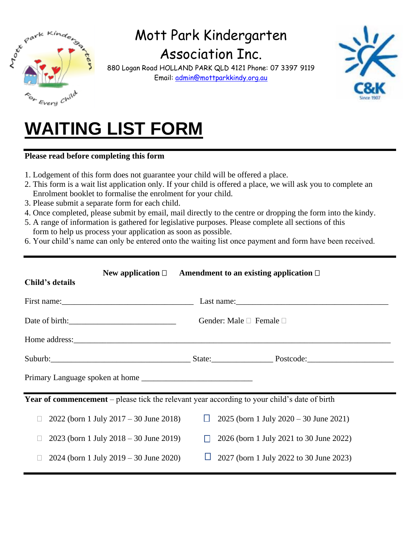

## Mott Park Kindergarten

Association Inc.

880 Logan Road HOLLAND PARK QLD 4121 Phone: 07 3397 9119 Email: [admin@mottparkkindy.org.au](mailto:admin@mottparkkindy.org.au)



# **WAITING LIST FORM**

### **Please read before completing this form**

- 1. Lodgement of this form does not guarantee your child will be offered a place.
- 2. This form is a wait list application only. If your child is offered a place, we will ask you to complete an Enrolment booklet to formalise the enrolment for your child.
- 3. Please submit a separate form for each child.
- 4. Once completed, please submit by email, mail directly to the centre or dropping the form into the kindy.
- 5. A range of information is gathered for legislative purposes. Please complete all sections of this form to help us process your application as soon as possible.
- 6. Your child's name can only be entered onto the waiting list once payment and form have been received.

| Child's details                                                                                     | New application $\Box$ Amendment to an existing application $\Box$                                             |  |
|-----------------------------------------------------------------------------------------------------|----------------------------------------------------------------------------------------------------------------|--|
|                                                                                                     |                                                                                                                |  |
| Date of birth:                                                                                      | Gender: Male $\Box$ Female $\Box$                                                                              |  |
|                                                                                                     |                                                                                                                |  |
|                                                                                                     | Suburb: Suburb: Suburb: Suburb: Suburb: Suburb: Suburb: Suburb: Suburb: Suburb: Suburb: Suburb: Suburb: Suburb |  |
|                                                                                                     |                                                                                                                |  |
| <b>Year of commencement</b> – please tick the relevant year according to your child's date of birth |                                                                                                                |  |
| $2022$ (born 1 July $2017 - 30$ June 2018)<br>$\Box$                                                | $2025$ (born 1 July 2020 – 30 June 2021)<br>Ш                                                                  |  |
| $2023$ (born 1 July $2018 - 30$ June $2019$ )                                                       | 2026 (born 1 July 2021 to 30 June 2022)<br>$\perp$                                                             |  |
| $2024$ (born 1 July $2019 - 30$ June $2020$ )                                                       | 2027 (born 1 July 2022 to 30 June 2023)                                                                        |  |